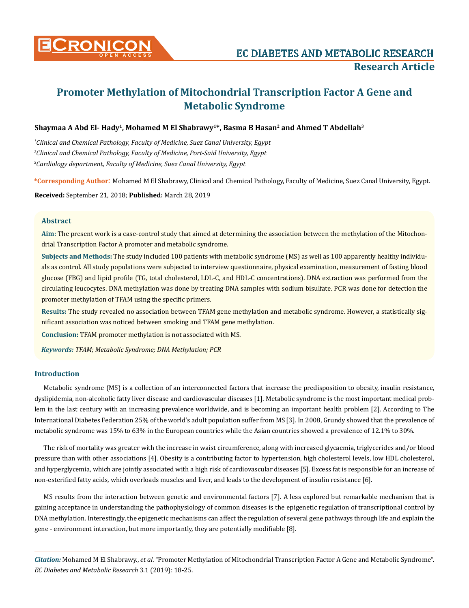

# **Promoter Methylation of Mitochondrial Transcription Factor A Gene and Metabolic Syndrome**

# Shaymaa A Abd El- Hady<sup>1</sup>, Mohamed M El Shabrawy<sup>1\*</sup>, Basma B Hasan<sup>2</sup> and Ahmed T Abdellah<sup>3</sup>

*1 Clinical and Chemical Pathology, Faculty of Medicine, Suez Canal University, Egypt 2 Clinical and Chemical Pathology, Faculty of Medicine, Port-Said University, Egypt 3 Cardiology department, Faculty of Medicine, Suez Canal University, Egypt*

**\*Corresponding Author**: Mohamed M El Shabrawy, Clinical and Chemical Pathology, Faculty of Medicine, Suez Canal University, Egypt.

**Received:** September 21, 2018; **Published:** March 28, 2019

#### **Abstract**

**Aim:** The present work is a case-control study that aimed at determining the association between the methylation of the Mitochondrial Transcription Factor A promoter and metabolic syndrome.

**Subjects and Methods:** The study included 100 patients with metabolic syndrome (MS) as well as 100 apparently healthy individuals as control. All study populations were subjected to interview questionnaire, physical examination, measurement of fasting blood glucose (FBG) and lipid profile (TG, total cholesterol, LDL-C, and HDL-C concentrations). DNA extraction was performed from the circulating leucocytes. DNA methylation was done by treating DNA samples with sodium bisulfate. PCR was done for detection the promoter methylation of TFAM using the specific primers.

**Results:** The study revealed no association between TFAM gene methylation and metabolic syndrome. However, a statistically significant association was noticed between smoking and TFAM gene methylation.

**Conclusion:** TFAM promoter methylation is not associated with MS.

*Keywords: TFAM; Metabolic Syndrome; DNA Methylation; PCR*

## **Introduction**

Metabolic syndrome (MS) is a collection of an interconnected factors that increase the predisposition to obesity, insulin resistance, dyslipidemia, non-alcoholic fatty liver disease and cardiovascular diseases [1]. Metabolic syndrome is the most important medical problem in the last century with an increasing prevalence worldwide, and is becoming an important health problem [2]. According to The International Diabetes Federation 25% of the world's adult population suffer from MS [3]. In 2008, Grundy showed that the prevalence of metabolic syndrome was 15% to 63% in the European countries while the Asian countries showed a prevalence of 12.1% to 30%.

The risk of mortality was greater with the increase in waist circumference, along with increased glycaemia, triglycerides and/or blood pressure than with other associations [4]. Obesity is a contributing factor to hypertension, high cholesterol levels, low HDL cholesterol, and hyperglycemia, which are jointly associated with a high risk of cardiovascular diseases [5]. Excess fat is responsible for an increase of non-esterified fatty acids, which overloads muscles and liver, and leads to the development of insulin resistance [6].

MS results from the interaction between genetic and environmental factors [7]. A less explored but remarkable mechanism that is gaining acceptance in understanding the pathophysiology of common diseases is the epigenetic regulation of transcriptional control by DNA methylation. Interestingly, the epigenetic mechanisms can affect the regulation of several gene pathways through life and explain the gene - environment interaction, but more importantly, they are potentially modifiable [8].

*Citation:* Mohamed M El Shabrawy., *et al*. "Promoter Methylation of Mitochondrial Transcription Factor A Gene and Metabolic Syndrome". *EC Diabetes and Metabolic Research* 3.1 (2019): 18-25.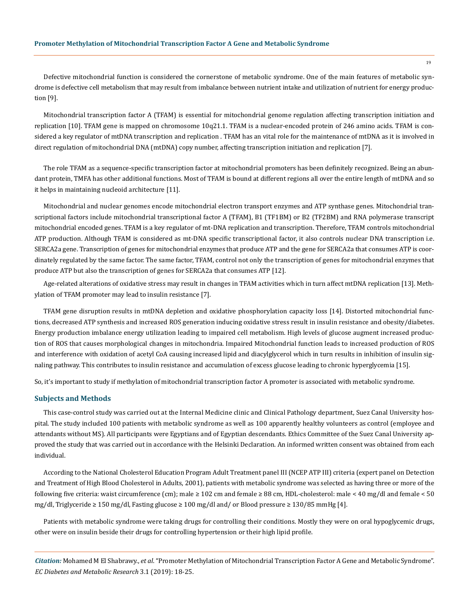Defective mitochondrial function is considered the cornerstone of metabolic syndrome. One of the main features of metabolic syndrome is defective cell metabolism that may result from imbalance between nutrient intake and utilization of nutrient for energy production [9].

Mitochondrial transcription factor A (TFAM) is essential for mitochondrial genome regulation affecting transcription initiation and replication [10]. TFAM gene is mapped on chromosome 10q21.1. TFAM is a nuclear-encoded protein of 246 amino acids. TFAM is considered a key regulator of mtDNA transcription and replication . TFAM has an vital role for the maintenance of mtDNA as it is involved in direct regulation of mitochondrial DNA (mtDNA) copy number, affecting transcription initiation and replication [7].

The role TFAM as a sequence-specific transcription factor at mitochondrial promoters has been definitely recognized. Being an abundant protein, TMFA has other additional functions. Most of TFAM is bound at different regions all over the entire length of mtDNA and so it helps in maintaining nucleoid architecture [11].

Mitochondrial and nuclear genomes encode mitochondrial electron transport enzymes and ATP synthase genes. Mitochondrial transcriptional factors include mitochondrial transcriptional factor A (TFAM), B1 (TF1BM) or B2 (TF2BM) and RNA polymerase transcript mitochondrial encoded genes. TFAM is a key regulator of mt-DNA replication and transcription. Therefore, TFAM controls mitochondrial ATP production. Although TFAM is considered as mt-DNA specific transcriptional factor, it also controls nuclear DNA transcription i.e. SERCA2a gene. Transcription of genes for mitochondrial enzymes that produce ATP and the gene for SERCA2a that consumes ATP is coordinately regulated by the same factor. The same factor, TFAM, control not only the transcription of genes for mitochondrial enzymes that produce ATP but also the transcription of genes for SERCA2a that consumes ATP [12].

Age-related alterations of oxidative stress may result in changes in TFAM activities which in turn affect mtDNA replication [13]. Methylation of TFAM promoter may lead to insulin resistance [7].

TFAM gene disruption results in mtDNA depletion and oxidative phosphorylation capacity loss [14]. Distorted mitochondrial functions, decreased [ATP synthesis](https://www.sciencedirect.com/topics/biochemistry-genetics-and-molecular-biology/atp-synthase) and increased ROS generation inducing [oxidative stress](https://www.sciencedirect.com/topics/medicine-and-dentistry/oxidative-stress) result in insulin resistance and obesity/diabetes. Energy production imbalance energy utilization leading to impaired cell metabolism. High levels of glucose augment increased production of ROS that causes morphological changes in mitochondria. Impaired Mitochondrial function leads to increased production of ROS and interference with oxidation of [acetyl CoA](https://www.sciencedirect.com/topics/medicine-and-dentistry/acetyl-coa) causing increased lipid and [diacylglycerol](https://www.sciencedirect.com/topics/medicine-and-dentistry/diacylglycerol) which in turn results in inhibition of insulin [sig](https://www.sciencedirect.com/topics/biochemistry-genetics-and-molecular-biology/signal-transduction)[naling pathway.](https://www.sciencedirect.com/topics/biochemistry-genetics-and-molecular-biology/signal-transduction) This contributes to insulin resistance and accumulation of excess glucose leading to chronic [hyperglycemia](https://www.sciencedirect.com/topics/medicine-and-dentistry/hyperglycemia) [15].

So, it's important to study if methylation of mitochondrial transcription factor A promoter is associated with metabolic syndrome.

#### **Subjects and Methods**

This case-control study was carried out at the Internal Medicine clinic and Clinical Pathology department, Suez Canal University hospital. The study included 100 patients with metabolic syndrome as well as 100 apparently healthy volunteers as control (employee and attendants without MS). All participants were Egyptians and of Egyptian descendants. Ethics Committee of the Suez Canal University approved the study that was carried out in accordance with the Helsinki Declaration. An informed written consent was obtained from each individual.

According to the National Cholesterol Education Program Adult Treatment panel III (NCEP ATP III) criteria (expert panel on Detection and Treatment of High Blood Cholesterol in Adults, 2001), patients with metabolic syndrome was selected as having three or more of the following five criteria: waist circumference (cm); male  $\geq 102$  cm and female  $\geq 88$  cm, HDL-cholesterol: male  $\lt 40$  mg/dl and female  $\lt 50$ mg/dl, Triglyceride ≥ 150 mg/dl, Fasting glucose ≥ 100 mg/dl and/ or Blood pressure ≥ 130/85 mmHg [4].

Patients with metabolic syndrome were taking drugs for controlling their conditions. Mostly they were on oral hypoglycemic drugs, other were on insulin beside their drugs for controlling hypertension or their high lipid profile.

*Citation:* Mohamed M El Shabrawy., *et al*. "Promoter Methylation of Mitochondrial Transcription Factor A Gene and Metabolic Syndrome". *EC Diabetes and Metabolic Research* 3.1 (2019): 18-25.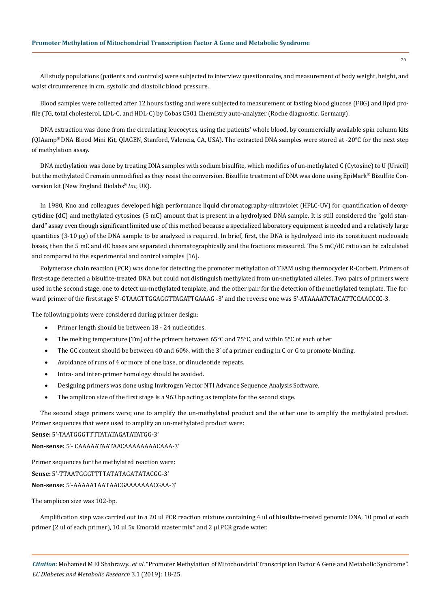All study populations (patients and controls) were subjected to interview questionnaire, and measurement of body weight, height, and waist circumference in cm, systolic and diastolic blood pressure.

Blood samples were collected after 12 hours fasting and were subjected to measurement of fasting blood glucose (FBG) and lipid profile (TG, total cholesterol, LDL-C, and HDL-C) by Cobas C501 Chemistry auto-analyzer (Roche diagnostic, Germany).

DNA extraction was done from the circulating leucocytes, using the patients' whole blood, by commercially available spin column kits (QIAamp® DNA Blood Mini Kit, QIAGEN, Stanford, Valencia, CA, USA). The extracted DNA samples were stored at -20°C for the next step of methylation assay.

DNA methylation was done by treating DNA samples with sodium bisulfite, which modifies of un-methylated C (Cytosine) to U (Uracil) but the methylated C remain unmodified as they resist the conversion. Bisulfite treatment of DNA was done using EpiMark® Bisulfite Conversion kit (New England Biolabs® *Inc*, UK).

In 1980, Kuo and colleagues developed high performance liquid chromatography-ultraviolet (HPLC-UV) for quantification of deoxycytidine (dC) and methylated cytosines (5 mC) amount that is present in a hydrolysed DNA sample. It is still considered the "gold standard" assay even though significant limited use of this method because a specialized laboratory equipment is needed and a relatively large quantities (3-10 μg) of the DNA sample to be analyzed is required. In brief, first, the DNA is hydrolyzed into its constituent nucleoside bases, then the 5 mC and dC bases are separated chromatographically and the fractions measured. The 5 mC/dC ratio can be calculated and compared to the experimental and control samples [16].

Polymerase chain reaction (PCR) was done for detecting the promoter methylation of TFAM using thermocycler R-Corbett. Primers of first-stage detected a bisulfite-treated DNA but could not distinguish methylated from un-methylated alleles. Two pairs of primers were used in the second stage, one to detect un-methylated template, and the other pair for the detection of the methylated template. The forward primer of the first stage 5ʹ-GTAAGTTGGAGGTTAGATTGAAAG -3ʹ and the reverse one was 5ʹ-ATAAAATCTACATTCCAACCCC-3.

The following points were considered during primer design:

- Primer length should be between 18 24 nucleotides.
- The melting temperature (Tm) of the primers between 65°C and 75°C, and within 5°C of each other
- The GC content should be between 40 and 60%, with the 3' of a primer ending in C or G to promote binding.
- Avoidance of runs of 4 or more of one base, or dinucleotide repeats.
- Intra- and inter-primer homology should be avoided.
- • Designing primers was done using Invitrogen Vector NTI Advance Sequence Analysis Software.
- The amplicon size of the first stage is a 963 bp acting as template for the second stage.

The second stage primers were; one to amplify the un-methylated product and the other one to amplify the methylated product. Primer sequences that were used to amplify an un-methylated product were:

**Sense:** 5ʹ-TAATGGGTTTTATATAGATATATGG-3ʹ

**Non-sense:** 5ʹ- CAAAAATAATAACAAAAAAAACAAA-3ʹ

Primer sequences for the methylated reaction were: **Sense:** 5ʹ-TTAATGGGTTTTATATAGATATACGG-3ʹ

**Non-sense:** 5ʹ-AAAAATAATAACGAAAAAAACGAA-3ʹ

The amplicon size was 102-bp.

Amplification step was carried out in a 20 ul PCR reaction mixture containing 4 ul of bisulfate-treated genomic DNA, 10 pmol of each primer (2 ul of each primer), 10 ul 5x Emorald master mix\* and 2 μl PCR grade water.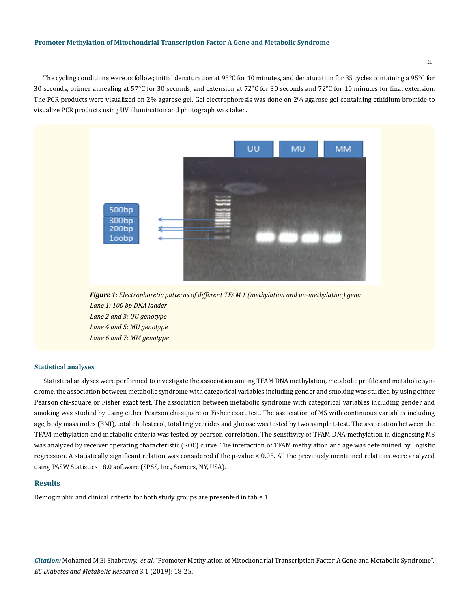The cycling conditions were as follow; initial denaturation at 95°C for 10 minutes, and denaturation for 35 cycles containing a 95°C for 30 seconds, primer annealing at 57°C for 30 seconds, and extension at 72°C for 30 seconds and 72°C for 10 minutes for final extension. The PCR products were visualized on 2% agarose gel. Gel electrophoresis was done on 2% agarose gel containing ethidium bromide to visualize PCR products using UV illumination and photograph was taken.



*Figure 1: Electrophoretic patterns of different TFAM 1 (methylation and un-methylation) gene. Lane 1: 100 bp DNA ladder Lane 2 and 3: UU genotype Lane 4 and 5: MU genotype Lane 6 and 7: MM genotype*

#### **Statistical analyses**

Statistical analyses were performed to investigate the association among TFAM DNA methylation, metabolic profile and metabolic syndrome. the association between metabolic syndrome with categorical variables including gender and smoking was studied by using either Pearson chi-square or Fisher exact test. The association between metabolic syndrome with categorical variables including gender and smoking was studied by using either Pearson chi-square or Fisher exact test. The association of MS with continuous variables including age, body mass index (BMI), total cholesterol, total triglycerides and glucose was tested by two sample t-test. The association between the TFAM methylation and metabolic criteria was tested by pearson correlation. The sensitivity of TFAM DNA methylation in diagnosing MS was analyzed by receiver operating characteristic (ROC) curve. The interaction of TFAM methylation and age was determined by Logistic regression. A statistically significant relation was considered if the p-value < 0.05. All the previously mentioned relations were analyzed using PASW Statistics 18.0 software (SPSS, Inc., Somers, NY, USA).

## **Results**

Demographic and clinical criteria for both study groups are presented in table 1.

*Citation:* Mohamed M El Shabrawy., *et al*. "Promoter Methylation of Mitochondrial Transcription Factor A Gene and Metabolic Syndrome". *EC Diabetes and Metabolic Research* 3.1 (2019): 18-25.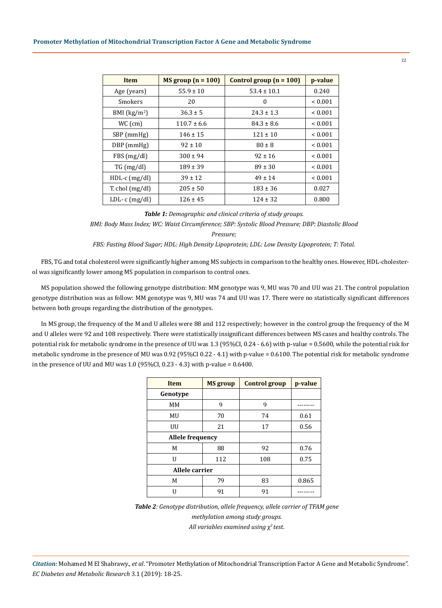| <b>Item</b>       | $MS$ group (n = 100) | Control group $(n = 100)$ | p-value      |
|-------------------|----------------------|---------------------------|--------------|
| Age (years)       | $55.9 \pm 10$        | $53.4 \pm 10.1$           | 0.240        |
| Smokers           | 20                   | $\Omega$                  | ${}_{0.001}$ |
| BMI $(kg/m2)$     | $36.3 \pm 5$         | $24.3 \pm 1.3$            | ${}_{0.001}$ |
| $WC$ (cm)         | $110.7 \pm 6.6$      | $84.3 \pm 8.6$            | ${}_{0.001}$ |
| SBP (mmHg)        | $146 \pm 15$         | $121 \pm 10$              | ${}_{0.001}$ |
| DBP (mmHg)        | $92 \pm 10$          | $80 \pm 8$                | ${}_{0.001}$ |
| FBS (mg/dl)       | $300 \pm 94$         | $92 \pm 16$               | ${}_{0.001}$ |
| $TG \, (mg/dl)$   | $189 \pm 39$         | $89 \pm 30$               | ${}_{0.001}$ |
| $HDL-c$ (mg/dl)   | $39 \pm 12$          | $49 \pm 14$               | ${}_{0.001}$ |
| T. chol $(mg/dl)$ | $205 \pm 50$         | $183 \pm 36$              | 0.027        |
| LDL- $c$ (mg/dl)  | $126 \pm 45$         | $124 \pm 32$              | 0.800        |

*Table 1: Demographic and clinical criteria of study groups.*

*BMI: Body Mass Index; WC: Waist Circumference; SBP: Systolic Blood Pressure; DBP: Diastolic Blood* 

*Pressure;* 

*FBS: Fasting Blood Sugar; HDL: High Density Lipoprotein; LDL: Low Density Lipoprotein; T: Total.*

FBS, TG and total cholesterol were significantly higher among MS subjects in comparison to the healthy ones. However, HDL-cholesterol was significantly lower among MS population in comparison to control ones.

MS population showed the following genotype distribution: MM genotype was 9, MU was 70 and UU was 21. The control population genotype distribution was as follow: MM genotype was 9, MU was 74 and UU was 17. There were no statistically significant differences between both groups regarding the distribution of the genotypes.

In MS group, the frequency of the M and U alleles were 88 and 112 respectively; however in the control group the frequency of the M and U alleles were 92 and 108 respectively. There were statistically insignificant differences between MS cases and healthy controls. The potential risk for metabolic syndrome in the presence of UU was 1.3 (95%CI, 0.24 - 6.6) with p-value = 0.5600, while the potential risk for metabolic syndrome in the presence of MU was 0.92 (95%CI 0.22 - 4.1) with p-value = 0.6100. The potential risk for metabolic syndrome in the presence of UU and MU was  $1.0$  (95%CI, 0.23 - 4.3) with p-value = 0.6400.

| <b>Item</b>             | <b>MS</b> group | <b>Control group</b> | p-value |
|-------------------------|-----------------|----------------------|---------|
| Genotype                |                 |                      |         |
| MM                      | 9               | 9                    |         |
| MU                      | 70              | 74                   | 0.61    |
| UU                      | 21              | 17                   | 0.56    |
| <b>Allele frequency</b> |                 |                      |         |
| M                       | 88              | 92                   | 0.76    |
| U                       | 112             | 108                  | 0.75    |
| Allele carrier          |                 |                      |         |
| M                       | 79              | 83                   | 0.865   |
| H                       | 91              | 91                   |         |

*Table 2: Genotype distribution, allele frequency, allele carrier of TFAM gene methylation among study groups. All variables examined using* χ*2 test.*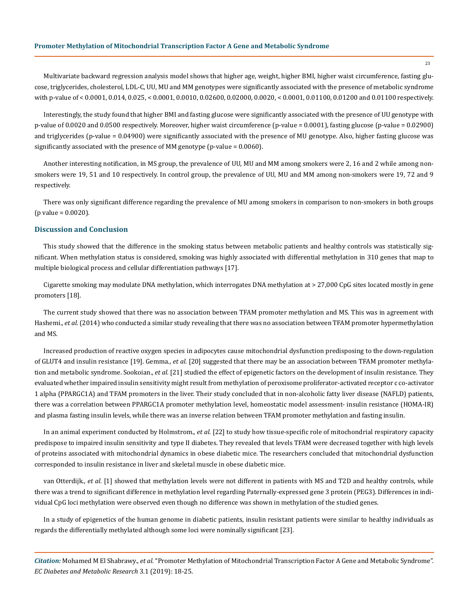Multivariate backward regression analysis model shows that higher age, weight, higher BMI, higher waist circumference, fasting glucose, triglycerides, cholesterol, LDL-C, UU, MU and MM genotypes were significantly associated with the presence of metabolic syndrome with p-value of < 0.0001, 0.014, 0.025, < 0.0001, 0.0010, 0.02600, 0.02000, 0.0020, < 0.0001, 0.01100, 0.01200 and 0.01100 respectively.

Interestingly, the study found that higher BMI and fasting glucose were significantly associated with the presence of UU genotype with p-value of 0.0020 and 0.0500 respectively. Moreover, higher waist circumference (p-value = 0.0001), fasting glucose (p-value = 0.02900) and triglycerides (p-value = 0.04900) were significantly associated with the presence of MU genotype. Also, higher fasting glucose was significantly associated with the presence of MM genotype (p-value = 0.0060).

Another interesting notification, in MS group, the prevalence of UU, MU and MM among smokers were 2, 16 and 2 while among nonsmokers were 19, 51 and 10 respectively. In control group, the prevalence of UU, MU and MM among non-smokers were 19, 72 and 9 respectively.

There was only significant difference regarding the prevalence of MU among smokers in comparison to non-smokers in both groups  $(p$  value =  $0.0020$ ).

#### **Discussion and Conclusion**

This study showed that the difference in the smoking status between metabolic patients and healthy controls was statistically significant. When methylation status is considered, smoking was highly associated with differential methylation in 310 genes that map to multiple biological process and cellular differentiation pathways [17].

Cigarette smoking may modulate DNA methylation, which interrogates DNA methylation at > 27,000 CpG sites located mostly in gene promoters [18].

The current study showed that there was no association between TFAM promoter methylation and MS. This was in agreement with Hashemi., *et al.* (2014) who conducted a similar study revealing that there was no association between TFAM promoter hypermethylation and MS.

Increased production of reactive oxygen species in adipocytes cause mitochondrial dysfunction predisposing to the down-regulation of GLUT4 and insulin resistance [19]. Gemma., *et al.* [20] suggested that there may be an association between TFAM promoter methylation and metabolic syndrome. Sookoian., *et al.* [21] studied the effect of epigenetic factors on the development of insulin resistance. They evaluated whether impaired insulin sensitivity might result from methylation of peroxisome proliferator-activated receptor c co-activator 1 alpha (PPARGC1A) and TFAM promoters in the liver. Their study concluded that in non-alcoholic fatty liver disease (NAFLD) patients, there was a correlation between PPARGC1A promoter methylation level, homeostatic model assessment- insulin resistance (HOMA-IR) and plasma fasting insulin levels, while there was an inverse relation between TFAM promoter methylation and fasting insulin.

In an animal experiment conducted by Holmstrom., *et al.* [22] to study how tissue-specific role of mitochondrial respiratory capacity predispose to impaired insulin sensitivity and type II diabetes. They revealed that levels TFAM were decreased together with high levels of proteins associated with mitochondrial dynamics in obese diabetic mice. The researchers concluded that mitochondrial dysfunction corresponded to insulin resistance in liver and skeletal muscle in obese diabetic mice.

van Otterdijk., *et al.* [1] showed that methylation levels were not different in patients with MS and T2D and healthy controls, while there was a trend to significant difference in methylation level regarding Paternally-expressed gene 3 protein (PEG3). Differences in individual CpG loci methylation were observed even though no difference was shown in methylation of the studied genes.

In a study of epigenetics of the human genome in diabetic patients, insulin resistant patients were similar to healthy individuals as regards the differentially methylated although some loci were nominally significant [23].

*Citation:* Mohamed M El Shabrawy., *et al*. "Promoter Methylation of Mitochondrial Transcription Factor A Gene and Metabolic Syndrome". *EC Diabetes and Metabolic Research* 3.1 (2019): 18-25.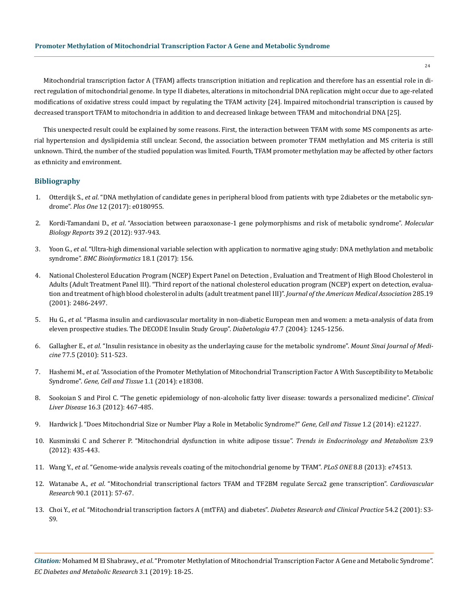Mitochondrial transcription factor A (TFAM) affects transcription initiation and replication and therefore has an essential role in direct regulation of mitochondrial genome. In type II diabetes, alterations in mitochondrial DNA replication might occur due to age-related modifications of oxidative stress could impact by regulating the TFAM activity [24]. Impaired mitochondrial transcription is caused by decreased transport TFAM to mitochondria in addition to and decreased linkage between TFAM and mitochondrial DNA [25].

This unexpected result could be explained by some reasons. First, the interaction between TFAM with some MS components as arterial hypertension and dyslipidemia still unclear. Second, the association between promoter TFAM methylation and MS criteria is still unknown. Third, the number of the studied population was limited. Fourth, TFAM promoter methylation may be affected by other factors as ethnicity and environment.

### **Bibliography**

- 1. Otterdijk S., *et al*[. "DNA methylation of candidate genes in peripheral blood from patients with type 2diabetes or the metabolic syn](https://www.ncbi.nlm.nih.gov/pubmed/28727822)drome". *Plos One* [12 \(2017\): e0180955.](https://www.ncbi.nlm.nih.gov/pubmed/28727822)
- 2. Kordi-Tamandani D., *et al*[. "Association between paraoxonase-1 gene polymorphisms and risk of metabolic syndrome".](https://www.ncbi.nlm.nih.gov/pubmed/21573798) *Molecular Biology Reports* [39.2 \(2012\): 937-943.](https://www.ncbi.nlm.nih.gov/pubmed/21573798)
- 3. Yoon G., *et al*[. "Ultra-high dimensional variable selection with application to normative aging study: DNA methylation and metabolic](https://www.ncbi.nlm.nih.gov/pubmed/28264653)  syndrome". *[BMC Bioinformatics](https://www.ncbi.nlm.nih.gov/pubmed/28264653)* 18.1 (2017): 156.
- 4. [National Cholesterol Education Program \(NCEP\) Expert Panel on Detection , Evaluation and Treatment of High Blood Cholesterol in](https://www.ncbi.nlm.nih.gov/pubmed/11368702)  [Adults \(Adult Treatment Panel III\). "Third report of the national cholesterol education program \(NCEP\) expert on detection, evalua](https://www.ncbi.nlm.nih.gov/pubmed/11368702)[tion and treatment of high blood cholesterol in adults \(adult treatment panel III\)".](https://www.ncbi.nlm.nih.gov/pubmed/11368702) *Journal of the American Medical Association* 285.19 [\(2001\): 2486-2497.](https://www.ncbi.nlm.nih.gov/pubmed/11368702)
- 5. Hu G., *et al*[. "Plasma insulin and cardiovascular mortality in non-diabetic European men and women: a meta-analysis of data from](https://www.ncbi.nlm.nih.gov/pubmed/15241592)  [eleven prospective studies. The DECODE Insulin Study Group".](https://www.ncbi.nlm.nih.gov/pubmed/15241592) *Diabetologia* 47.7 (2004): 1245-1256.
- 6. Gallagher E., *et al*[. "Insulin resistance in obesity as the underlaying cause for the metabolic syndrome".](https://www.ncbi.nlm.nih.gov/pubmed/20960553) *Mount Sinai Journal of Medicine* [77.5 \(2010\): 511-523.](https://www.ncbi.nlm.nih.gov/pubmed/20960553)
- 7. Hashemi M., *et al*[. "Association of the Promoter Methylation of Mitochondrial Transcription Factor A With Susceptibility to Metabolic](http://genecelltissue.com/en/articles/15122.html)  Syndrome". *[Gene, Cell and Tissue](http://genecelltissue.com/en/articles/15122.html)* 1.1 (2014): e18308.
- 8. [Sookoian S and Pirol C. "The genetic epidemiology of non-alcoholic fatty liver disease: towards a personalized medicine".](https://www.ncbi.nlm.nih.gov/pubmed/22824476) *Clinical Liver Disease* [16.3 \(2012\): 467-485.](https://www.ncbi.nlm.nih.gov/pubmed/22824476)
- 9. [Hardwick J. "Does Mitochondrial Size or Number Play a Role in Metabolic Syndrome?"](https://cdn.neoscriber.org/cdn/serve/313ea/11c4a89def855df8213b07121e0f773287fb5400/14797-pdf.pdf) *Gene, Cell and Tissue* 1.2 (2014): e21227.
- 10. [Kusminski C and Scherer P. "Mitochondrial dysfunction in white adipose tissue".](https://www.ncbi.nlm.nih.gov/pubmed/22784416) *Trends in Endocrinology and Metabolism* 23.9 [\(2012\): 435-443.](https://www.ncbi.nlm.nih.gov/pubmed/22784416)
- 11. Wang Y., *et al*[. "Genome-wide analysis reveals coating of the mitochondrial genome by TFAM".](https://www.ncbi.nlm.nih.gov/pubmed/23991223) *PLoS ONE* 8.8 (2013): e74513.
- 12. Watanabe A., *et al*[. "Mitochondrial transcriptional factors TFAM and TF2BM regulate Serca2 gene transcription".](https://www.ncbi.nlm.nih.gov/pubmed/21113058) *Cardiovascular Research* [90.1 \(2011\): 57-67.](https://www.ncbi.nlm.nih.gov/pubmed/21113058)
- 13. Choi Y., *et al*[. "Mitochondrial transcription factors A \(mtTFA\) and diabetes".](https://www.ncbi.nlm.nih.gov/pubmed/11733104) *Diabetes Research and Clinical Practice* 54.2 (2001): S3- [S9.](https://www.ncbi.nlm.nih.gov/pubmed/11733104)

*Citation:* Mohamed M El Shabrawy., *et al*. "Promoter Methylation of Mitochondrial Transcription Factor A Gene and Metabolic Syndrome". *EC Diabetes and Metabolic Research* 3.1 (2019): 18-25.